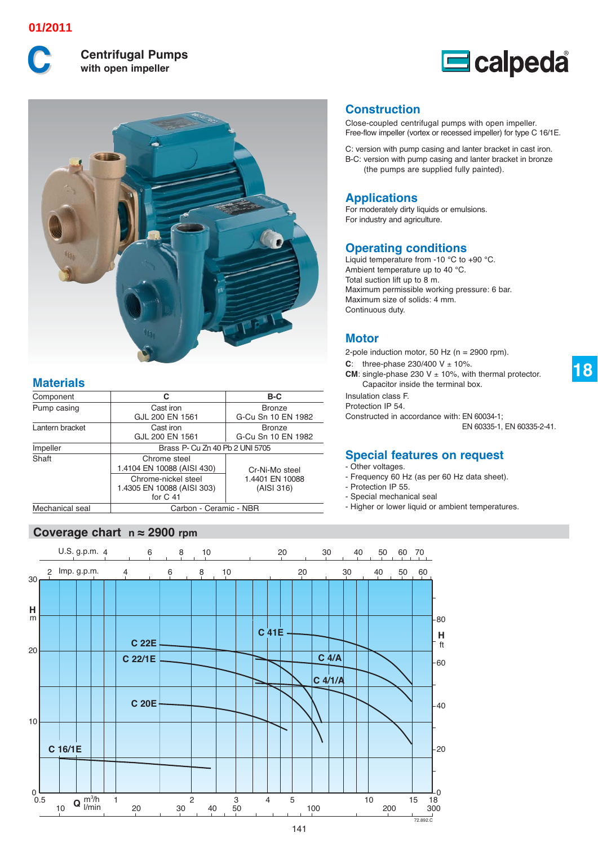### **01/2011**



**Centrifugal Pumps** with open impeller





# **Materials**

| Component       | C                                                               | B-C                                 |  |  |  |  |  |  |  |  |
|-----------------|-----------------------------------------------------------------|-------------------------------------|--|--|--|--|--|--|--|--|
| Pump casing     | Cast iron<br>GJL 200 EN 1561                                    | <b>Bronze</b><br>G-Cu Sn 10 EN 1982 |  |  |  |  |  |  |  |  |
| Lantern bracket | Cast iron<br>GJL 200 EN 1561                                    | <b>Bronze</b><br>G-Cu Sn 10 EN 1982 |  |  |  |  |  |  |  |  |
| Impeller        | Brass P- Cu Zn 40 Pb 2 UNI 5705                                 |                                     |  |  |  |  |  |  |  |  |
| Shaft           | Chrome steel<br>1.4104 EN 10088 (AISI 430)                      | Cr-Ni-Mo steel                      |  |  |  |  |  |  |  |  |
|                 | Chrome-nickel steel<br>1.4305 EN 10088 (AISI 303)<br>for $C$ 41 | 1.4401 EN 10088<br>(AISI 316)       |  |  |  |  |  |  |  |  |
| Mechanical seal | Carbon - Ceramic - NBR                                          |                                     |  |  |  |  |  |  |  |  |

## **Coverage chart n ≈ 2900 rpm**

**Construction**

Close-coupled centrifugal pumps with open impeller. Free-flow impeller (vortex or recessed impeller) for type C 16/1E.

C: version with pump casing and lanter bracket in cast iron. B-C: version with pump casing and lanter bracket in bronze (the pumps are supplied fully painted).

### **Applications**

For moderately dirty liquids or emulsions. For industry and agriculture.

#### **Operating conditions**

Liquid temperature from -10 °C to +90 °C. Ambient temperature up to 40 °C. Total suction lift up to 8 m. Maximum permissible working pressure: 6 bar. Maximum size of solids: 4 mm. Continuous duty.

## **Motor**

2-pole induction motor, 50 Hz (n = 2900 rpm).

**C**: three-phase  $230/400 \text{ V } \pm 10\%$ .

**CM**: single-phase 230 V  $\pm$  10%, with thermal protector. Capacitor inside the terminal box.

Insulation class F. Protection IP 54.

Constructed in accordance with: EN 60034-1;

EN 60335-1, EN 60335-2-41.

## **Special features on request**

- Other voltages.
- Frequency 60 Hz (as per 60 Hz data sheet).
- Protection IP 55.
- Special mechanical seal
- Higher or lower liquid or ambient temperatures.

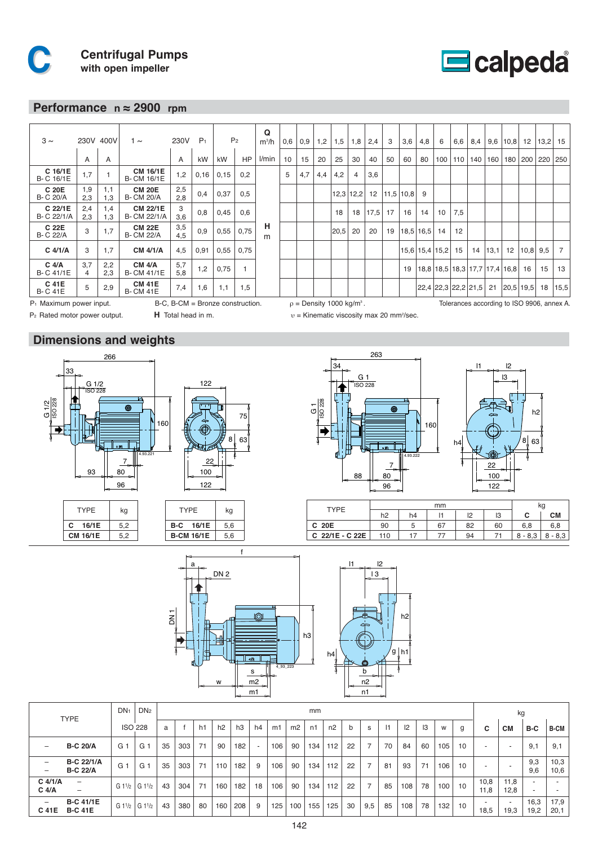

#### **Performance n ≈ 2900 rpm**

| $3 \sim$                                                                                                                                                  |                       | 230V 400V  | 1 $\sim$                             | 230V       | P <sub>1</sub> |      | P <sub>2</sub> | Q<br>$m^3/h$ | 0,6 | 0,9 | 1,2 | 1,5  | 1,8            | 2,4  | 3  | 3,6       | 4,8           | 6                    | 6,6 | 8,4                           |      | $9,6$   10,8 | 12                    | 13,2 | 15             |
|-----------------------------------------------------------------------------------------------------------------------------------------------------------|-----------------------|------------|--------------------------------------|------------|----------------|------|----------------|--------------|-----|-----|-----|------|----------------|------|----|-----------|---------------|----------------------|-----|-------------------------------|------|--------------|-----------------------|------|----------------|
|                                                                                                                                                           | A                     | A          |                                      | A          | kW             | kW   | <b>HP</b>      | l/min        | 10  | 15  | 20  | 25   | 30             | 40   | 50 | 60        | 80            | 100                  | 110 | 140                           | 160  |              | 180   200   220   250 |      |                |
| C 16/1E<br>B- C 16/1E                                                                                                                                     | 1,7                   |            | <b>CM 16/1E</b><br><b>B-CM 16/1E</b> | 1,2        | 0,16           | 0,15 | 0,2            |              | 5   | 4,7 | 4,4 | 4,2  | $\overline{4}$ | 3,6  |    |           |               |                      |     |                               |      |              |                       |      |                |
| C 20E<br><b>B-C 20/A</b>                                                                                                                                  | 1,9<br>2,3            | 1,1<br>1,3 | <b>CM 20E</b><br><b>B-CM 20/A</b>    | 2,5<br>2.8 | 0,4            | 0,37 | 0,5            |              |     |     |     |      | $12,3$ 12,2    | 12   |    | 11.5 10.8 | 9             |                      |     |                               |      |              |                       |      |                |
| C 22/1E<br>B- C 22/1/A                                                                                                                                    | 2,4<br>2,3            | 1,4<br>1,3 | <b>CM 22/1E</b><br>B- CM 22/1/A      | 3<br>3.6   | 0,8            | 0,45 | 0,6            |              |     |     |     | 18   | 18             | 17,5 | 17 | 16        | 14            | 10                   | 7,5 |                               |      |              |                       |      |                |
| C 22E<br><b>B-C 22/A</b>                                                                                                                                  | 3                     | 1,7        | <b>CM 22E</b><br><b>B- CM 22/A</b>   | 3,5<br>4.5 | 0.9            | 0,55 | 0,75           | н<br>m       |     |     |     | 20,5 | 20             | 20   | 19 |           | $18,5$   16,5 | 14                   | 12  |                               |      |              |                       |      |                |
| $C$ 4/1/A                                                                                                                                                 | 3                     | 1,7        | <b>CM 4/1/A</b>                      | 4,5        | 0,91           | 0,55 | 0,75           |              |     |     |     |      |                |      |    |           |               | $15,6$   15,4   15,2 | 15  | 14                            | 13,1 | 12           | $ 10,8 $ 9.5          |      | $\overline{7}$ |
| $C$ 4/A<br>B- C 41/1E                                                                                                                                     | 3,7<br>$\overline{4}$ | 2,2<br>2.3 | <b>CM 4/A</b><br><b>B-CM 41/1E</b>   | 5,7<br>5.8 | 1,2            | 0,75 |                |              |     |     |     |      |                |      |    | 19        |               |                      |     | 18,8 18,5 18,3 17,7 17,4 16,8 |      |              | 16                    | 15   | 13             |
| C 41E<br><b>B-C41E</b>                                                                                                                                    | 5                     | 2,9        | <b>CM 41E</b><br><b>B-CM41E</b>      | 7,4        | 1,6            | 1,1  | 1,5            |              |     |     |     |      |                |      |    |           |               |                      |     | 22,4 22,3 22,2 21,5           | 21   | $20,5$ 19,5  |                       | 18   | 15,5           |
| B-C, B-CM = Bronze construction.<br>Tolerances according to ISO 9906, annex A.<br>$P_1$ Maximum power input.<br>$\rho =$ Density 1000 kg/m <sup>3</sup> . |                       |            |                                      |            |                |      |                |              |     |     |     |      |                |      |    |           |               |                      |     |                               |      |              |                       |      |                |

**H** Total head in m. B-C, B-CM = Bronze construction.

P2 Rated motor power output.

# **Dimensions and weights**









υ = Kinematic viscosity max 20 mm<sup>2</sup>/sec.



| TYPF            |     |    | ĸg |    |    |           |           |
|-----------------|-----|----|----|----|----|-----------|-----------|
|                 | h2  | h4 |    | פו | IЗ |           | СM        |
| C 20E           | 90  | ັ  | 67 | 82 | 60 | 6.8       |           |
| C 22/1E - C 22E | 110 |    |    | 94 |    | $8 - 8.3$ | $8 - 8.3$ |



|                                        | <b>TYPE</b>                                                  | DN <sub>1</sub> | DN <sub>2</sub> |    | mm  |    |                |                |    |     |                |     |     |    |                |    |     |    |     | kg |                                  |                                  |                                                      |              |  |
|----------------------------------------|--------------------------------------------------------------|-----------------|-----------------|----|-----|----|----------------|----------------|----|-----|----------------|-----|-----|----|----------------|----|-----|----|-----|----|----------------------------------|----------------------------------|------------------------------------------------------|--------------|--|
|                                        |                                                              |                 | <b>ISO 228</b>  | a  |     | h1 | h <sub>2</sub> | h <sub>3</sub> | h4 | m1  | m <sub>2</sub> | n1  | n2  | b  | s              | 1  | 2   | 3  | W   | g  | c                                | <b>CM</b>                        | B-C                                                  | <b>B-CM</b>  |  |
| $\qquad \qquad -$                      | <b>B-C 20/A</b>                                              | G 1             | G 1             | 35 | 303 | 71 | 90             | 182            |    | 106 | 90             | 134 | 112 | 22 | $\overline{7}$ | 70 | 84  | 60 | 105 | 10 | $\overline{\phantom{a}}$         | $\overline{\phantom{a}}$         | 9,1                                                  | 9,1          |  |
| $\qquad \qquad -$<br>$\qquad \qquad -$ | <b>B-C 22/1/A</b><br><b>B-C 22/A</b>                         | G 1             | G 1             | 35 | 303 | 71 | 110            | 182            | 9  | 106 | 90             | 134 | 112 | 22 | $\overline{ }$ | 81 | 93  | 71 | 106 | 10 | $\overline{\phantom{a}}$         |                                  | 9,3<br>9,6                                           | 10,3<br>10,6 |  |
| $C$ 4/1/A<br>$C$ 4/A                   | $\qquad \qquad \blacksquare$<br>$\qquad \qquad \blacksquare$ | $G1^{1/2}$      | G11/2           | 43 | 304 | 71 | 160            | 182            | 18 | 106 | 90             | 134 | 112 | 22 | $\overline{ }$ | 85 | 108 | 78 | 100 | 10 | 10,8<br>11.8                     | 11,8<br>12,8                     | $\overline{\phantom{a}}$<br>$\overline{\phantom{a}}$ | ۰            |  |
| $\qquad \qquad -$<br>C 41E             | <b>B-C 41/1E</b><br><b>B-C 41E</b>                           | $G1^{1/2}$      | G11/2           | 43 | 380 | 80 | 160            | 208            | 9  | 125 | 100            | 155 | 125 | 30 | 9,5            | 85 | 108 | 78 | 132 | 10 | $\overline{\phantom{a}}$<br>18,5 | $\overline{\phantom{a}}$<br>19,3 | 16,3<br>19,2                                         | 17,9<br>20,1 |  |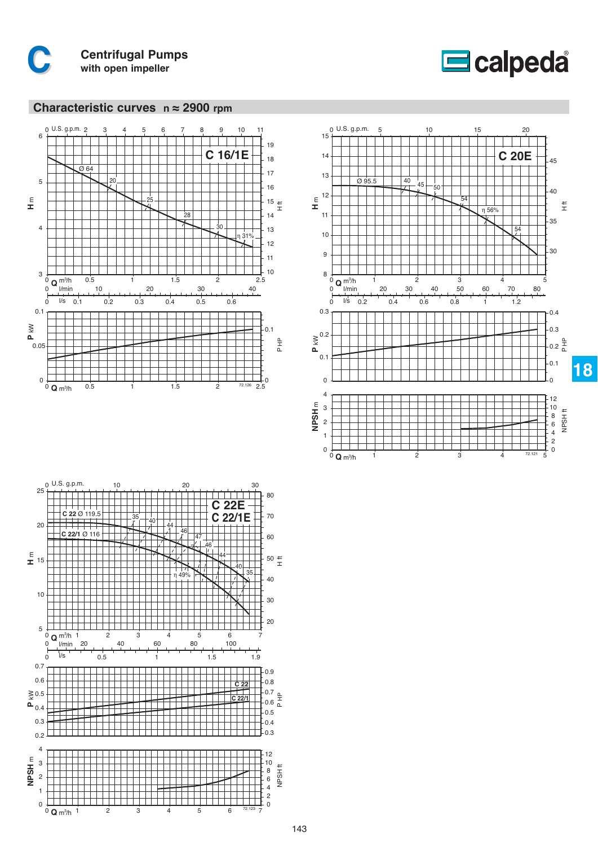



#### **Characteristic curves n ≈ 2900 rpm**